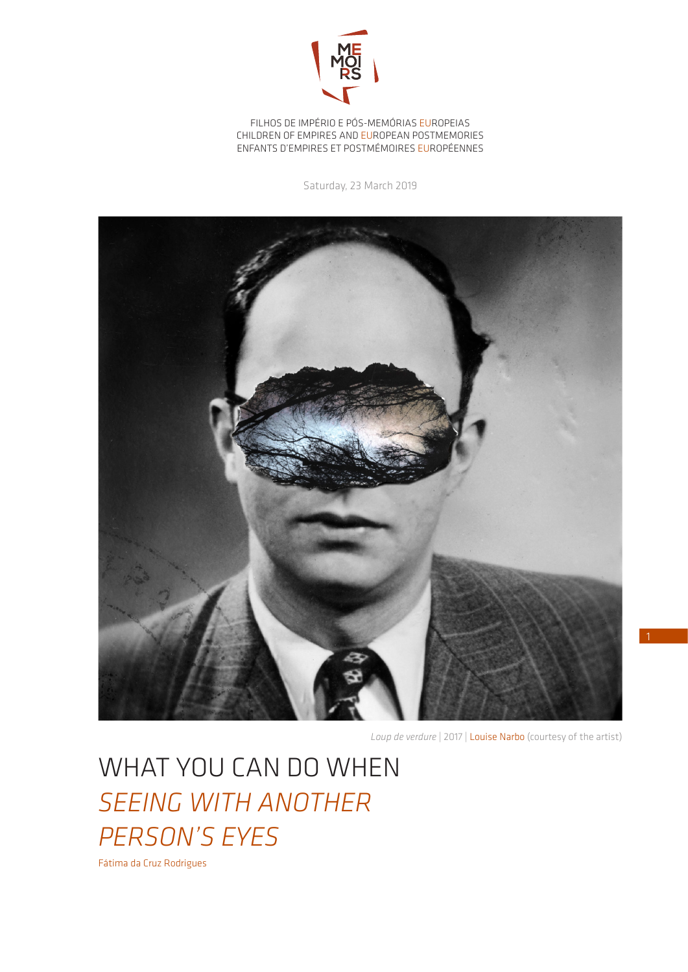

FILHOS DE IMPÉRIO E PÓS-MEMÓRIAS EUROPEIAS CHILDREN OF EMPIRES AND EUROPEAN POSTMEMORIES ENFANTS D'EMPIRES ET POSTMÉMOIRES EUROPÉENNES

Saturday, 23 March 2019



*Loup de verdure* | 2017 | Louise Narbo (courtesy of the artist)

1

WHAT YOU CAN DO WHEN *SEEING WITH ANOTHER PERSON'S EYES*

Fátima da Cruz Rodrigues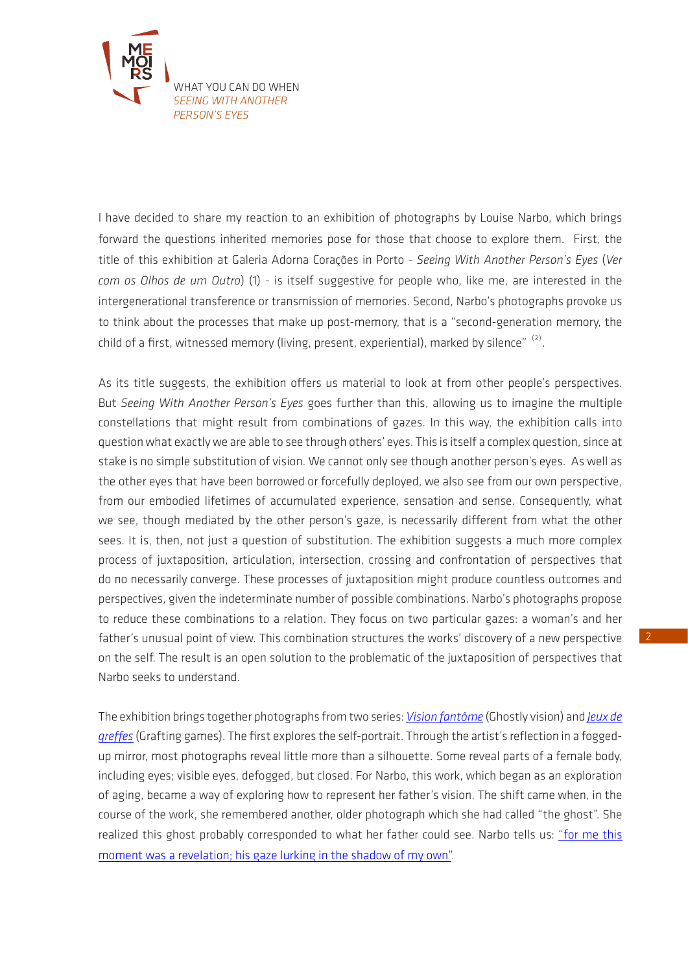

I have decided to share my reaction to an exhibition of photographs by Louise Narbo, which brings forward the questions inherited memories pose for those that choose to explore them. First, the title of this exhibition at Galeria Adorna Corações in Porto - *Seeing With Another Person's Eyes* (*Ver com os Olhos de um Outro*) (1) - is itself suggestive for people who, like me, are interested in the intergenerational transference or transmission of memories. Second, Narbo's photographs provoke us to think about the processes that make up post-memory, that is a "second-generation memory, the child of a first, witnessed memory (living, present, experiential), marked by silence"  $(2)$ .

As its title suggests, the exhibition offers us material to look at from other people's perspectives. But *Seeing With Another Person's Eyes* goes further than this, allowing us to imagine the multiple constellations that might result from combinations of gazes. In this way, the exhibition calls into question what exactly we are able to see through others' eyes. This is itself a complex question, since at stake is no simple substitution of vision. We cannot only see though another person's eyes. As well as the other eyes that have been borrowed or forcefully deployed, we also see from our own perspective, from our embodied lifetimes of accumulated experience, sensation and sense. Consequently, what we see, though mediated by the other person's gaze, is necessarily different from what the other sees. It is, then, not just a question of substitution. The exhibition suggests a much more complex process of juxtaposition, articulation, intersection, crossing and confrontation of perspectives that do no necessarily converge. These processes of juxtaposition might produce countless outcomes and perspectives, given the indeterminate number of possible combinations. Narbo's photographs propose to reduce these combinations to a relation. They focus on two particular gazes: a woman's and her father's unusual point of view. This combination structures the works' discovery of a new perspective on the self. The result is an open solution to the problematic of the juxtaposition of perspectives that Narbo seeks to understand.

The exhibition brings together photographs from two series: *[Vision fantôme](http://www.louisenarbo.fr/en/portfolio/portfolio-1-3/ghostly-vision--22)* (Ghostly vision) and *[Jeux de](http://www.louisenarbo.fr/fr/portfolio/portfolio-1-3/jeux-de-greffes-51)  [greffes](http://www.louisenarbo.fr/fr/portfolio/portfolio-1-3/jeux-de-greffes-51)* (Grafting games). The first explores the self-portrait. Through the artist's reflection in a foggedup mirror, most photographs reveal little more than a silhouette. Some reveal parts of a female body, including eyes; visible eyes, defogged, but closed. For Narbo, this work, which began as an exploration of aging, became a way of exploring how to represent her father's vision. The shift came when, in the course of the work, she remembered another, older photograph which she had called "the ghost". She realized this ghost probably corresponded to what her father could see. Narbo tells us: ["for me this](http://www.louisenarbo.fr/en/portfolio/portfolio-1-3/ghostly-vision--22)  [moment was a revelation; his gaze lurking in the shadow of my own".](http://www.louisenarbo.fr/en/portfolio/portfolio-1-3/ghostly-vision--22)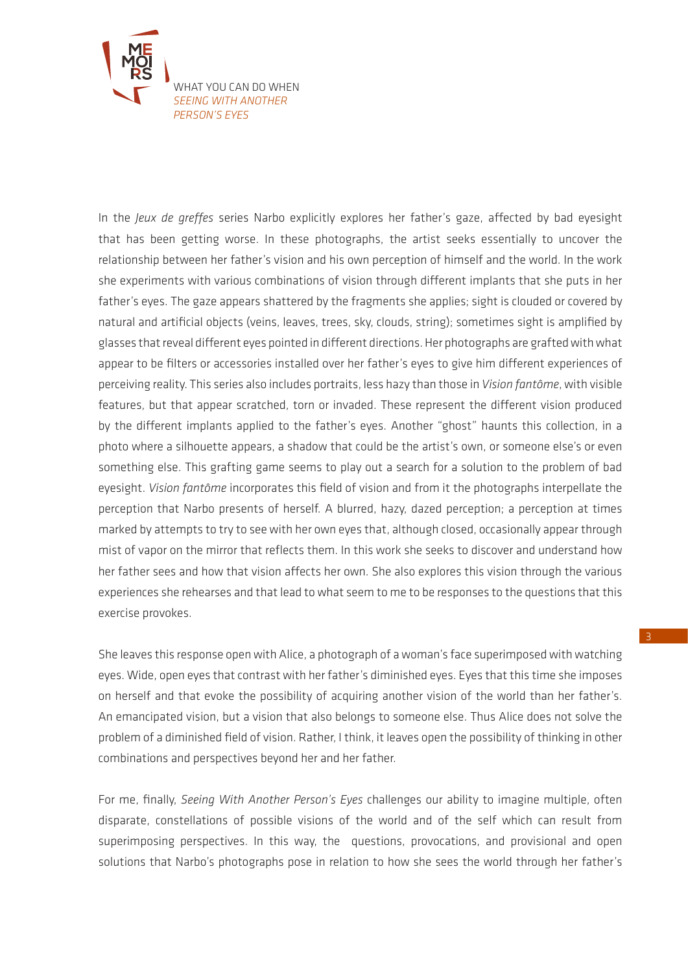

In the *Jeux de greffes* series Narbo explicitly explores her father's gaze, affected by bad eyesight that has been getting worse. In these photographs, the artist seeks essentially to uncover the relationship between her father's vision and his own perception of himself and the world. In the work she experiments with various combinations of vision through different implants that she puts in her father's eyes. The gaze appears shattered by the fragments she applies; sight is clouded or covered by natural and artificial objects (veins, leaves, trees, sky, clouds, string); sometimes sight is amplified by glasses that reveal different eyes pointed in different directions. Her photographs are grafted with what appear to be filters or accessories installed over her father's eyes to give him different experiences of perceiving reality. This series also includes portraits, less hazy than those in *Vision fantôme*, with visible features, but that appear scratched, torn or invaded. These represent the different vision produced by the different implants applied to the father's eyes. Another "ghost" haunts this collection, in a photo where a silhouette appears, a shadow that could be the artist's own, or someone else's or even something else. This grafting game seems to play out a search for a solution to the problem of bad eyesight. *Vision fantôme* incorporates this field of vision and from it the photographs interpellate the perception that Narbo presents of herself. A blurred, hazy, dazed perception; a perception at times marked by attempts to try to see with her own eyes that, although closed, occasionally appear through mist of vapor on the mirror that reflects them. In this work she seeks to discover and understand how her father sees and how that vision affects her own. She also explores this vision through the various experiences she rehearses and that lead to what seem to me to be responses to the questions that this exercise provokes.

She leaves this response open with Alice, a photograph of a woman's face superimposed with watching eyes. Wide, open eyes that contrast with her father's diminished eyes. Eyes that this time she imposes on herself and that evoke the possibility of acquiring another vision of the world than her father's. An emancipated vision, but a vision that also belongs to someone else. Thus Alice does not solve the problem of a diminished field of vision. Rather, I think, it leaves open the possibility of thinking in other combinations and perspectives beyond her and her father.

For me, finally, *Seeing With Another Person's Eyes* challenges our ability to imagine multiple, often disparate, constellations of possible visions of the world and of the self which can result from superimposing perspectives. In this way, the questions, provocations, and provisional and open solutions that Narbo's photographs pose in relation to how she sees the world through her father's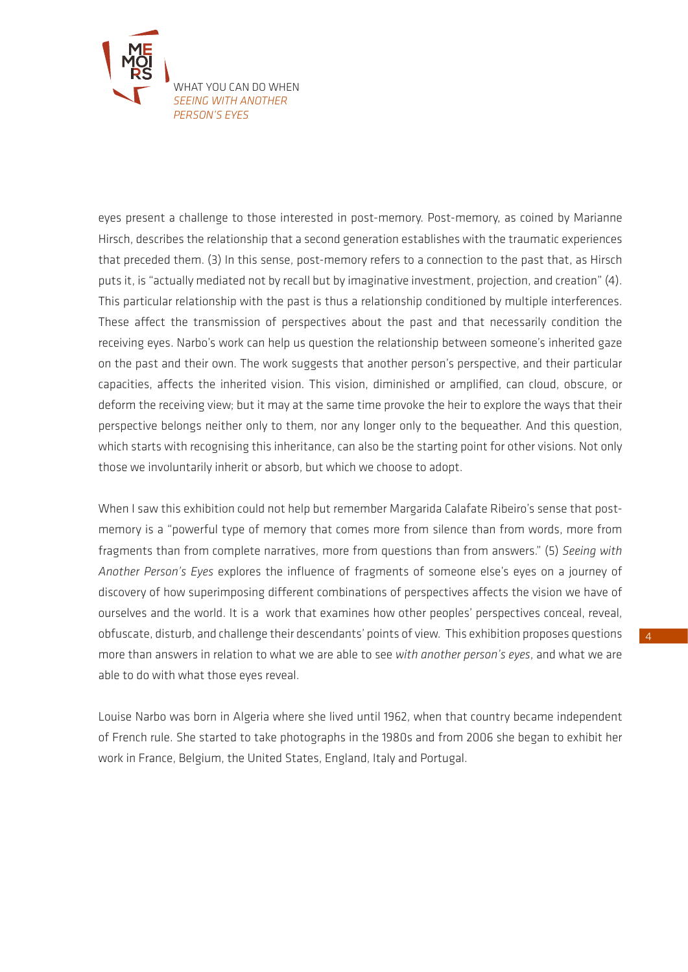

eyes present a challenge to those interested in post-memory. Post-memory, as coined by Marianne Hirsch, describes the relationship that a second generation establishes with the traumatic experiences that preceded them. (3) In this sense, post-memory refers to a connection to the past that, as Hirsch puts it, is "actually mediated not by recall but by imaginative investment, projection, and creation" (4). This particular relationship with the past is thus a relationship conditioned by multiple interferences. These affect the transmission of perspectives about the past and that necessarily condition the receiving eyes. Narbo's work can help us question the relationship between someone's inherited gaze on the past and their own. The work suggests that another person's perspective, and their particular capacities, affects the inherited vision. This vision, diminished or amplified, can cloud, obscure, or deform the receiving view; but it may at the same time provoke the heir to explore the ways that their perspective belongs neither only to them, nor any longer only to the bequeather. And this question, which starts with recognising this inheritance, can also be the starting point for other visions. Not only those we involuntarily inherit or absorb, but which we choose to adopt.

When I saw this exhibition could not help but remember Margarida Calafate Ribeiro's sense that postmemory is a "powerful type of memory that comes more from silence than from words, more from fragments than from complete narratives, more from questions than from answers." (5) *Seeing with Another Person's Eyes* explores the influence of fragments of someone else's eyes on a journey of discovery of how superimposing different combinations of perspectives affects the vision we have of ourselves and the world. It is a work that examines how other peoples' perspectives conceal, reveal, obfuscate, disturb, and challenge their descendants' points of view. This exhibition proposes questions more than answers in relation to what we are able to see *with another person's eyes*, and what we are able to do with what those eyes reveal.

Louise Narbo was born in Algeria where she lived until 1962, when that country became independent of French rule. She started to take photographs in the 1980s and from 2006 she began to exhibit her work in France, Belgium, the United States, England, Italy and Portugal.